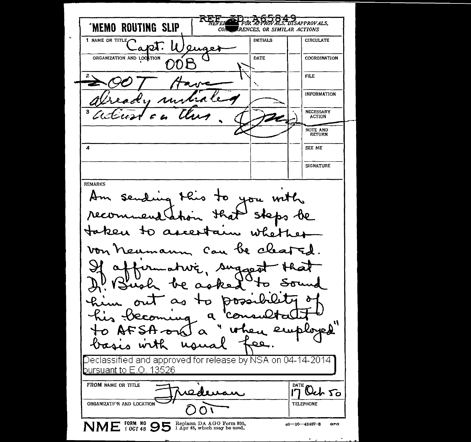FOR APPROVALS, DISAPPROVALS, **'MEMO ROUTING SLIP** CON RENCES, OR SIMILAR ACTIONS 1 NAME OR TITLE INITIALS CIRCULATE  $ar\lambda$   $u_1$ Quae ORGANIZATION AND LOCATION DATE COORDINATION OÓB FILE INFORMATION NECESSARY ACTION NOTE AND **RETURN** 4 SEE ME **SIGNATURE** REMARKS sending this to you with Am reco steps be  $\mathcal{H}$ Ia  $\alpha$  $A = 0$ O  $\lambda^{\mu\nu}$ ۱۵،۱۱ C a へん ىلەر  $\sim$   $\alpha$ ÷. Sugae  $\alpha$ 5  $\mathbf{r}$   $\mathbf{r}$ 2 o  $\alpha_3$  $+$ 0 **DP** q ч n A ₽ u he  $\alpha$ ہوفی. - Κ)-τ eclassified and approved for release by NSA on 04-14-2014 bursuant to E.O. 13526 FROM NAME OR TITLE  $\overrightarrow{A}$  :  $\overrightarrow{A}$   $\overrightarrow{A}$  ...  $10000$ ORGANIZATION AND LOCATION  $\bullet$  $NME_{i\text{ }00748}^{F0RM\text{ }N0}$  95  $\frac{\text{Replace } DA\text{ }A\text{ }G0\text{ }From\text{ }895,}{1\text{ }A\text{ pr 48, which may be used.}}$   $66-16-48487-8$  GPO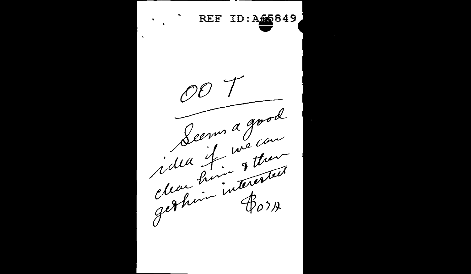**REF** ID: A65849  $\Delta$ Seema good clean him & them idea it gethrin interested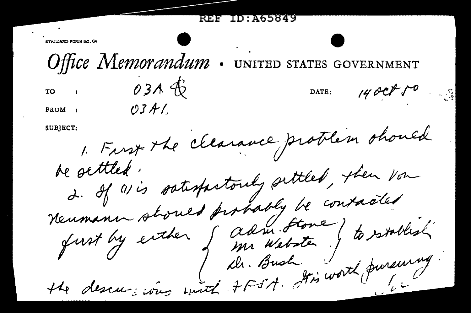|  | REFERID: A65849 |  |
|--|-----------------|--|
|  |                 |  |

 $1400800$ 

DATE:

STANDARD FORM NO. 64

 $0.3A$ 

 $OJAL$ 

Office Memorandum STATES GOVERNMENT

 $\overline{r}$   $\overline{r}$ 

FROM :

SUBJECT:

1. Frust the clearance problem should 2. If wis satisfactorily settled, then von Neumann should probably be contacted I +FSA. It's worth pursuing. the descursions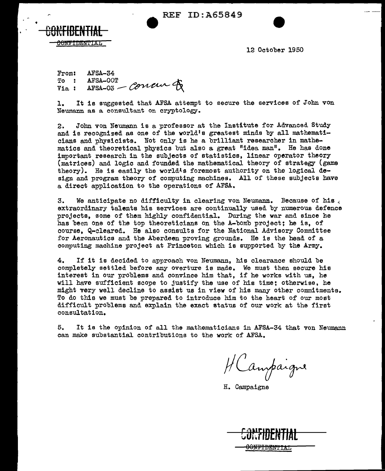**e** REF ID:A65849



12 October 1950

From: To Via<sub>1</sub> AFSA-34  $AFSA-00T$  can define  $\triangle$ AFSA-34<br>AFSA-00T<br>AFSA-03 --- COULUITY

1. It is suggested that AFSA attempt to secure the services of John von Neumann as a consultant on cryptology.

2. John von Neumann is a professor at the Institute for Advanced. Study and is recognized as one of the world's greatest minds by all mathematicians and physicists. Not only is he a brilliant researcher in mathematics and theoretical physics but also a great "idea man". He has done important research in the subjects of statistics, linear operator theory (matrices) and logic and founded the mathematical theory of strategy (game theory). He is easily the world<sup>1</sup>s foremost authority on the logical design and program theory of computing machines. All of these subjects have a direct application to the operations of AFSA.

3. We anticipate no difficulty in clearing von Neumann. Because of his  $\zeta$  extraordinary talents his services are continually used by numerous defence projects, some of them highly confidential. During the war and since he has been one of the top theoreticians on the A-bomb project; he is, of course. Q-cleared. He also consults for the National Advisory Committee for Aeronautics and the Aberdeen proving grounds. He is the head of a computing machine project at Princeton which is supported by the Army.

4. If it is decided. to approach von Neumann, his clearance shouJ.d be completely settled before any overture is made. We must then secure his interest in our problems and convince him that, if he works with us, he will have sufficient scope to justify the use of his time; otherwise, he might very well decline to assist us in view of his many other commitments. To do this we must be prepared to introduce him to the heart of our most difficult problems and explain the exact status of our work at the first consultation.

5. It is the opinion of all the mathematicians in AFSA-34 that von Neumann can make substantial. contributions to the work of AFSA.

HCampaigne

H. Campaigne

| <u>CANFIDENTIAL</u> |  |
|---------------------|--|
| <b>GURTIUEN HAL</b> |  |
|                     |  |
| <b>CONFIDENTIAL</b> |  |
|                     |  |